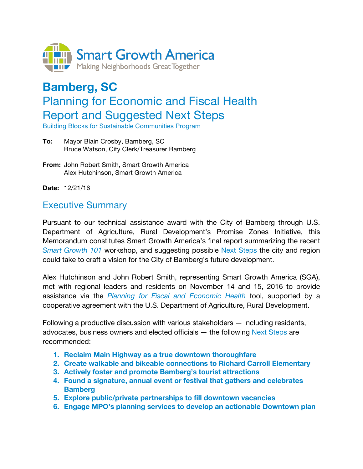

# **Bamberg, SC**  Planning for Economic and Fiscal Health Report and Suggested Next Steps

Building Blocks for Sustainable Communities Program

- **To:** Mayor Blain Crosby, Bamberg, SC Bruce Watson, City Clerk/Treasurer Bamberg
- **From:** John Robert Smith, Smart Growth America Alex Hutchinson, Smart Growth America
- **Date:** 12/21/16

# Executive Summary

Pursuant to our technical assistance award with the City of Bamberg through U.S. Department of Agriculture, Rural Development's Promise Zones Initiative, this Memorandum constitutes Smart Growth America's final report summarizing the recent *Smart Growth 101* workshop, and suggesting possible Next Steps the city and region could take to craft a vision for the City of Bamberg's future development.

Alex Hutchinson and John Robert Smith, representing Smart Growth America (SGA), met with regional leaders and residents on November 14 and 15, 2016 to provide assistance via the *Planning for Fiscal and Economic Health* tool, supported by a cooperative agreement with the U.S. Department of Agriculture, Rural Development.

Following a productive discussion with various stakeholders — including residents, advocates, business owners and elected officials  $-$  the following Next Steps are recommended:

- **1. Reclaim Main Highway as a true downtown thoroughfare**
- **2. Create walkable and bikeable connections to Richard Carroll Elementary**
- **3. Actively foster and promote Bamberg's tourist attractions**
- **4. Found a signature, annual event or festival that gathers and celebrates Bamberg**
- **5. Explore public/private partnerships to fill downtown vacancies**
- **6. Engage MPO's planning services to develop an actionable Downtown plan**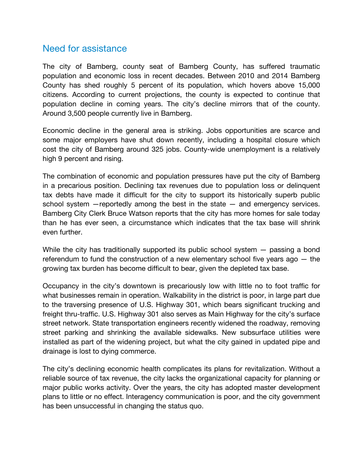## Need for assistance

The city of Bamberg, county seat of Bamberg County, has suffered traumatic population and economic loss in recent decades. Between 2010 and 2014 Bamberg County has shed roughly 5 percent of its population, which hovers above 15,000 citizens. According to current projections, the county is expected to continue that population decline in coming years. The city's decline mirrors that of the county. Around 3,500 people currently live in Bamberg.

Economic decline in the general area is striking. Jobs opportunities are scarce and some major employers have shut down recently, including a hospital closure which cost the city of Bamberg around 325 jobs. County-wide unemployment is a relatively high 9 percent and rising.

The combination of economic and population pressures have put the city of Bamberg in a precarious position. Declining tax revenues due to population loss or delinquent tax debts have made it difficult for the city to support its historically superb public school system —reportedly among the best in the state — and emergency services. Bamberg City Clerk Bruce Watson reports that the city has more homes for sale today than he has ever seen, a circumstance which indicates that the tax base will shrink even further.

While the city has traditionally supported its public school system – passing a bond referendum to fund the construction of a new elementary school five years ago — the growing tax burden has become difficult to bear, given the depleted tax base.

Occupancy in the city's downtown is precariously low with little no to foot traffic for what businesses remain in operation. Walkability in the district is poor, in large part due to the traversing presence of U.S. Highway 301, which bears significant trucking and freight thru-traffic. U.S. Highway 301 also serves as Main Highway for the city's surface street network. State transportation engineers recently widened the roadway, removing street parking and shrinking the available sidewalks. New subsurface utilities were installed as part of the widening project, but what the city gained in updated pipe and drainage is lost to dying commerce.

The city's declining economic health complicates its plans for revitalization. Without a reliable source of tax revenue, the city lacks the organizational capacity for planning or major public works activity. Over the years, the city has adopted master development plans to little or no effect. Interagency communication is poor, and the city government has been unsuccessful in changing the status quo.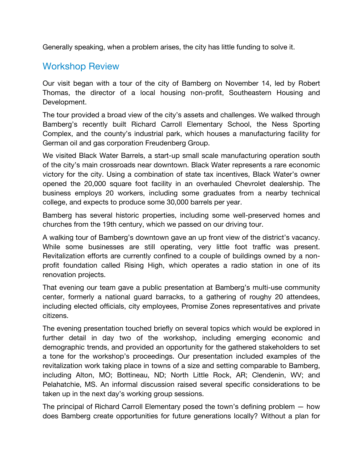Generally speaking, when a problem arises, the city has little funding to solve it.

# Workshop Review

Our visit began with a tour of the city of Bamberg on November 14, led by Robert Thomas, the director of a local housing non-profit, Southeastern Housing and Development.

The tour provided a broad view of the city's assets and challenges. We walked through Bamberg's recently built Richard Carroll Elementary School, the Ness Sporting Complex, and the county's industrial park, which houses a manufacturing facility for German oil and gas corporation Freudenberg Group.

We visited Black Water Barrels, a start-up small scale manufacturing operation south of the city's main crossroads near downtown. Black Water represents a rare economic victory for the city. Using a combination of state tax incentives, Black Water's owner opened the 20,000 square foot facility in an overhauled Chevrolet dealership. The business employs 20 workers, including some graduates from a nearby technical college, and expects to produce some 30,000 barrels per year.

Bamberg has several historic properties, including some well-preserved homes and churches from the 19th century, which we passed on our driving tour.

A walking tour of Bamberg's downtown gave an up front view of the district's vacancy. While some businesses are still operating, very little foot traffic was present. Revitalization efforts are currently confined to a couple of buildings owned by a nonprofit foundation called Rising High, which operates a radio station in one of its renovation projects.

That evening our team gave a public presentation at Bamberg's multi-use community center, formerly a national guard barracks, to a gathering of roughy 20 attendees, including elected officials, city employees, Promise Zones representatives and private citizens.

The evening presentation touched briefly on several topics which would be explored in further detail in day two of the workshop, including emerging economic and demographic trends, and provided an opportunity for the gathered stakeholders to set a tone for the workshop's proceedings. Our presentation included examples of the revitalization work taking place in towns of a size and setting comparable to Bamberg, including Alton, MO; Bottineau, ND; North Little Rock, AR; Clendenin, WV; and Pelahatchie, MS. An informal discussion raised several specific considerations to be taken up in the next day's working group sessions.

The principal of Richard Carroll Elementary posed the town's defining problem — how does Bamberg create opportunities for future generations locally? Without a plan for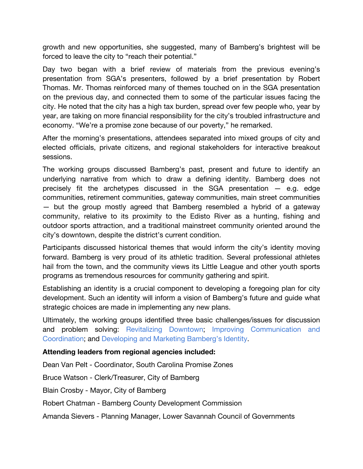growth and new opportunities, she suggested, many of Bamberg's brightest will be forced to leave the city to "reach their potential."

Day two began with a brief review of materials from the previous evening's presentation from SGA's presenters, followed by a brief presentation by Robert Thomas. Mr. Thomas reinforced many of themes touched on in the SGA presentation on the previous day, and connected them to some of the particular issues facing the city. He noted that the city has a high tax burden, spread over few people who, year by year, are taking on more financial responsibility for the city's troubled infrastructure and economy. "We're a promise zone because of our poverty," he remarked.

After the morning's presentations, attendees separated into mixed groups of city and elected officials, private citizens, and regional stakeholders for interactive breakout sessions.

The working groups discussed Bamberg's past, present and future to identify an underlying narrative from which to draw a defining identity. Bamberg does not precisely fit the archetypes discussed in the SGA presentation — e.g. edge communities, retirement communities, gateway communities, main street communities — but the group mostly agreed that Bamberg resembled a hybrid of a gateway community, relative to its proximity to the Edisto River as a hunting, fishing and outdoor sports attraction, and a traditional mainstreet community oriented around the city's downtown, despite the district's current condition.

Participants discussed historical themes that would inform the city's identity moving forward. Bamberg is very proud of its athletic tradition. Several professional athletes hail from the town, and the community views its Little League and other youth sports programs as tremendous resources for community gathering and spirit.

Establishing an identity is a crucial component to developing a foregoing plan for city development. Such an identity will inform a vision of Bamberg's future and guide what strategic choices are made in implementing any new plans.

Ultimately, the working groups identified three basic challenges/issues for discussion and problem solving: Revitalizing Downtown; Improving Communication and Coordination; and Developing and Marketing Bamberg's Identity.

## **Attending leaders from regional agencies included:**

Dean Van Pelt - Coordinator, South Carolina Promise Zones

Bruce Watson - Clerk/Treasurer, City of Bamberg

Blain Crosby - Mayor, City of Bamberg

Robert Chatman - Bamberg County Development Commission

Amanda Sievers - Planning Manager, Lower Savannah Council of Governments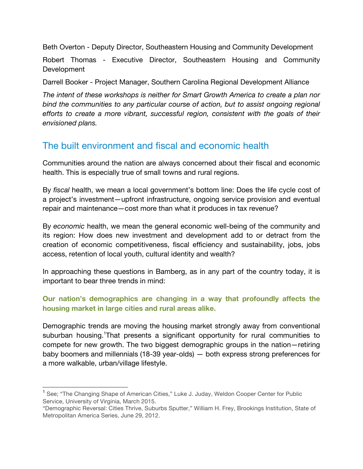Beth Overton - Deputy Director, Southeastern Housing and Community Development

Robert Thomas - Executive Director, Southeastern Housing and Community **Development** 

Darrell Booker - Project Manager, Southern Carolina Regional Development Alliance

*The intent of these workshops is neither for Smart Growth America to create a plan nor bind the communities to any particular course of action, but to assist ongoing regional efforts to create a more vibrant, successful region, consistent with the goals of their envisioned plans.* 

# The built environment and fiscal and economic health

Communities around the nation are always concerned about their fiscal and economic health. This is especially true of small towns and rural regions.

By *fiscal* health, we mean a local government's bottom line: Does the life cycle cost of a project's investment—upfront infrastructure, ongoing service provision and eventual repair and maintenance—cost more than what it produces in tax revenue?

By *economic* health, we mean the general economic well-being of the community and its region: How does new investment and development add to or detract from the creation of economic competitiveness, fiscal efficiency and sustainability, jobs, jobs access, retention of local youth, cultural identity and wealth?

In approaching these questions in Bamberg, as in any part of the country today, it is important to bear three trends in mind:

## **Our nation's demographics are changing in a way that profoundly affects the housing market in large cities and rural areas alike.**

Demographic trends are moving the housing market strongly away from conventional suburban housing. That presents a significant opportunity for rural communities to compete for new growth. The two biggest demographic groups in the nation—retiring baby boomers and millennials (18-39 year-olds) — both express strong preferences for a more walkable, urban/village lifestyle.

<sup>&</sup>lt;sup>1</sup> See; "The Changing Shape of American Cities," Luke J. Juday, Weldon Cooper Center for Public Service, University of Virginia, March 2015.

<sup>&</sup>quot;Demographic Reversal: Cities Thrive, Suburbs Sputter," William H. Frey, Brookings Institution, State of Metropolitan America Series, June 29, 2012.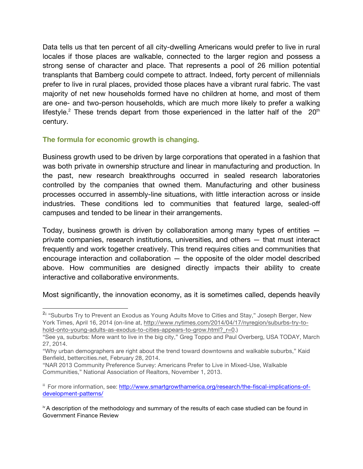Data tells us that ten percent of all city-dwelling Americans would prefer to live in rural locales if those places are walkable, connected to the larger region and possess a strong sense of character and place. That represents a pool of 26 million potential transplants that Bamberg could compete to attract. Indeed, forty percent of millennials prefer to live in rural places, provided those places have a vibrant rural fabric. The vast majority of net new households formed have no children at home, and most of them are one- and two-person households, which are much more likely to prefer a walking lifestyle.<sup>2</sup> These trends depart from those experienced in the latter half of the  $20<sup>th</sup>$ century.

## **The formula for economic growth is changing.**

Business growth used to be driven by large corporations that operated in a fashion that was both private in ownership structure and linear in manufacturing and production. In the past, new research breakthroughs occurred in sealed research laboratories controlled by the companies that owned them. Manufacturing and other business processes occurred in assembly-line situations, with little interaction across or inside industries. These conditions led to communities that featured large, sealed-off campuses and tended to be linear in their arrangements.

Today, business growth is driven by collaboration among many types of entities private companies, research institutions, universities, and others — that must interact frequently and work together creatively. This trend requires cities and communities that encourage interaction and collaboration — the opposite of the older model described above. How communities are designed directly impacts their ability to create interactive and collaborative environments.

Most significantly, the innovation economy, as it is sometimes called, depends heavily

<sup>&</sup>lt;sup>2ii</sup> "Suburbs Try to Prevent an Exodus as Young Adults Move to Cities and Stay," Joseph Berger, New York Times, April 16, 2014 (on-line at, http://www.nytimes.com/2014/04/17/nyregion/suburbs-try-tohold-onto-young-adults-as-exodus-to-cities-appears-to-grow.html? r=0.)

<sup>&</sup>quot;See ya, suburbs: More want to live in the big city," Greg Toppo and Paul Overberg, USA TODAY, March 27, 2014.

<sup>&</sup>quot;Why urban demographers are right about the trend toward downtowns and walkable suburbs," Kaid Benfield, bettercities.net, February 28, 2014.

<sup>&</sup>quot;NAR 2013 Community Preference Survey: Americans Prefer to Live in Mixed-Use, Walkable Communities," National Association of Realtors, November 1, 2013.

iii For more information, see: http://www.smartgrowthamerica.org/research/the-fiscal-implications-ofdevelopment-patterns/

 $\dot{v}$  A description of the methodology and summary of the results of each case studied can be found in Government Finance Review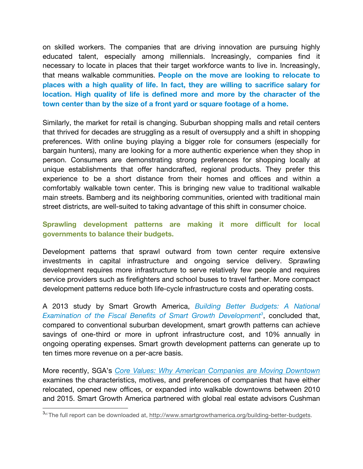on skilled workers. The companies that are driving innovation are pursuing highly educated talent, especially among millennials. Increasingly, companies find it necessary to locate in places that their target workforce wants to live in. Increasingly, that means walkable communities. **People on the move are looking to relocate to places with a high quality of life. In fact, they are willing to sacrifice salary for location. High quality of life is defined more and more by the character of the town center than by the size of a front yard or square footage of a home.** 

Similarly, the market for retail is changing. Suburban shopping malls and retail centers that thrived for decades are struggling as a result of oversupply and a shift in shopping preferences. With online buying playing a bigger role for consumers (especially for bargain hunters), many are looking for a more authentic experience when they shop in person. Consumers are demonstrating strong preferences for shopping locally at unique establishments that offer handcrafted, regional products. They prefer this experience to be a short distance from their homes and offices and within a comfortably walkable town center. This is bringing new value to traditional walkable main streets. Bamberg and its neighboring communities, oriented with traditional main street districts, are well-suited to taking advantage of this shift in consumer choice.

## **Sprawling development patterns are making it more difficult for local governments to balance their budgets.**

Development patterns that sprawl outward from town center require extensive investments in capital infrastructure and ongoing service delivery. Sprawling development requires more infrastructure to serve relatively few people and requires service providers such as firefighters and school buses to travel farther. More compact development patterns reduce both life-cycle infrastructure costs and operating costs.

A 2013 study by Smart Growth America, *Building Better Budgets: A National*  Examination of the Fiscal Benefits of Smart Growth Development<sup>3</sup>, concluded that, compared to conventional suburban development, smart growth patterns can achieve savings of one-third or more in upfront infrastructure cost, and 10% annually in ongoing operating expenses. Smart growth development patterns can generate up to ten times more revenue on a per-acre basis.

More recently, SGA's *Core Values: Why American Companies are Moving Downtown* examines the characteristics, motives, and preferences of companies that have either relocated, opened new offices, or expanded into walkable downtowns between 2010 and 2015. Smart Growth America partnered with global real estate advisors Cushman

<sup>&</sup>lt;sup>3</sup>vi The full report can be downloaded at, http://www.smartgrowthamerica.org/building-better-budgets.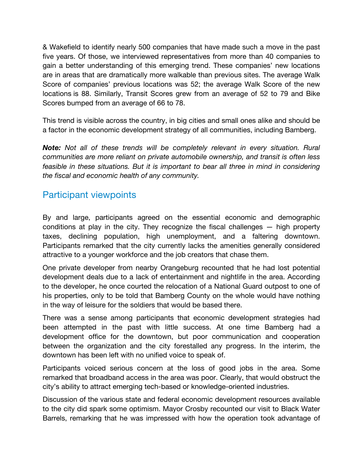& Wakefield to identify nearly 500 companies that have made such a move in the past five years. Of those, we interviewed representatives from more than 40 companies to gain a better understanding of this emerging trend. These companies' new locations are in areas that are dramatically more walkable than previous sites. The average Walk Score of companies' previous locations was 52; the average Walk Score of the new locations is 88. Similarly, Transit Scores grew from an average of 52 to 79 and Bike Scores bumped from an average of 66 to 78.

This trend is visible across the country, in big cities and small ones alike and should be a factor in the economic development strategy of all communities, including Bamberg.

**Note:** Not all of these trends will be completely relevant in every situation. Rural *communities are more reliant on private automobile ownership, and transit is often less*  feasible in these situations. But it is important to bear all three in mind in considering *the fiscal and economic health of any community.*

# Participant viewpoints

By and large, participants agreed on the essential economic and demographic conditions at play in the city. They recognize the fiscal challenges — high property taxes, declining population, high unemployment, and a faltering downtown. Participants remarked that the city currently lacks the amenities generally considered attractive to a younger workforce and the job creators that chase them.

One private developer from nearby Orangeburg recounted that he had lost potential development deals due to a lack of entertainment and nightlife in the area. According to the developer, he once courted the relocation of a National Guard outpost to one of his properties, only to be told that Bamberg County on the whole would have nothing in the way of leisure for the soldiers that would be based there.

There was a sense among participants that economic development strategies had been attempted in the past with little success. At one time Bamberg had a development office for the downtown, but poor communication and cooperation between the organization and the city forestalled any progress. In the interim, the downtown has been left with no unified voice to speak of.

Participants voiced serious concern at the loss of good jobs in the area. Some remarked that broadband access in the area was poor. Clearly, that would obstruct the city's ability to attract emerging tech-based or knowledge-oriented industries.

Discussion of the various state and federal economic development resources available to the city did spark some optimism. Mayor Crosby recounted our visit to Black Water Barrels, remarking that he was impressed with how the operation took advantage of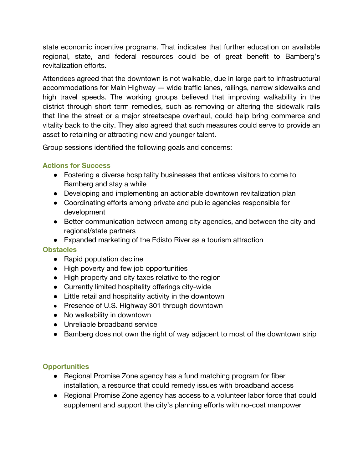state economic incentive programs. That indicates that further education on available regional, state, and federal resources could be of great benefit to Bamberg's revitalization efforts.

Attendees agreed that the downtown is not walkable, due in large part to infrastructural accommodations for Main Highway — wide traffic lanes, railings, narrow sidewalks and high travel speeds. The working groups believed that improving walkability in the district through short term remedies, such as removing or altering the sidewalk rails that line the street or a major streetscape overhaul, could help bring commerce and vitality back to the city. They also agreed that such measures could serve to provide an asset to retaining or attracting new and younger talent.

Group sessions identified the following goals and concerns:

## **Actions for Success**

- Fostering a diverse hospitality businesses that entices visitors to come to Bamberg and stay a while
- Developing and implementing an actionable downtown revitalization plan
- Coordinating efforts among private and public agencies responsible for development
- Better communication between among city agencies, and between the city and regional/state partners
- Expanded marketing of the Edisto River as a tourism attraction

## **Obstacles**

- Rapid population decline
- High poverty and few job opportunities
- High property and city taxes relative to the region
- Currently limited hospitality offerings city-wide
- Little retail and hospitality activity in the downtown
- Presence of U.S. Highway 301 through downtown
- No walkability in downtown
- Unreliable broadband service
- Bamberg does not own the right of way adjacent to most of the downtown strip

## **Opportunities**

- Regional Promise Zone agency has a fund matching program for fiber installation, a resource that could remedy issues with broadband access
- Regional Promise Zone agency has access to a volunteer labor force that could supplement and support the city's planning efforts with no-cost manpower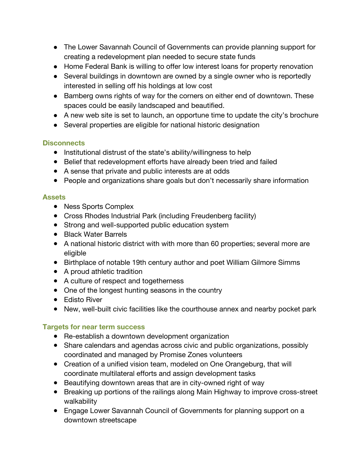- The Lower Savannah Council of Governments can provide planning support for creating a redevelopment plan needed to secure state funds
- Home Federal Bank is willing to offer low interest loans for property renovation
- Several buildings in downtown are owned by a single owner who is reportedly interested in selling off his holdings at low cost
- Bamberg owns rights of way for the corners on either end of downtown. These spaces could be easily landscaped and beautified.
- A new web site is set to launch, an opportune time to update the city's brochure
- Several properties are eligible for national historic designation

## **Disconnects**

- Institutional distrust of the state's ability/willingness to help
- Belief that redevelopment efforts have already been tried and failed
- A sense that private and public interests are at odds
- People and organizations share goals but don't necessarily share information

## **Assets**

- Ness Sports Complex
- Cross Rhodes Industrial Park (including Freudenberg facility)
- Strong and well-supported public education system
- Black Water Barrels
- A national historic district with with more than 60 properties; several more are eligible
- Birthplace of notable 19th century author and poet William Gilmore Simms
- A proud athletic tradition
- A culture of respect and togetherness
- One of the longest hunting seasons in the country
- Edisto River
- New, well-built civic facilities like the courthouse annex and nearby pocket park

## **Targets for near term success**

- Re-establish a downtown development organization
- Share calendars and agendas across civic and public organizations, possibly coordinated and managed by Promise Zones volunteers
- Creation of a unified vision team, modeled on One Orangeburg, that will coordinate multilateral efforts and assign development tasks
- Beautifying downtown areas that are in city-owned right of way
- Breaking up portions of the railings along Main Highway to improve cross-street walkability
- Engage Lower Savannah Council of Governments for planning support on a downtown streetscape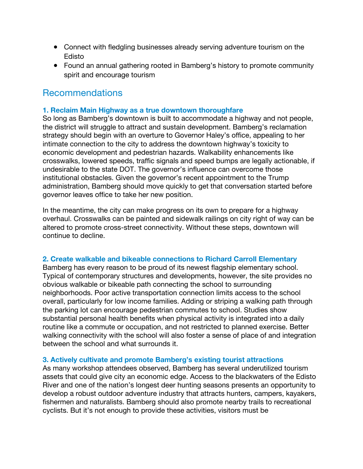- Connect with fledgling businesses already serving adventure tourism on the Edisto
- Found an annual gathering rooted in Bamberg's history to promote community spirit and encourage tourism

# Recommendations

## **1. Reclaim Main Highway as a true downtown thoroughfare**

So long as Bamberg's downtown is built to accommodate a highway and not people, the district will struggle to attract and sustain development. Bamberg's reclamation strategy should begin with an overture to Governor Haley's office, appealing to her intimate connection to the city to address the downtown highway's toxicity to economic development and pedestrian hazards. Walkability enhancements like crosswalks, lowered speeds, traffic signals and speed bumps are legally actionable, if undesirable to the state DOT. The governor's influence can overcome those institutional obstacles. Given the governor's recent appointment to the Trump administration, Bamberg should move quickly to get that conversation started before governor leaves office to take her new position.

In the meantime, the city can make progress on its own to prepare for a highway overhaul. Crosswalks can be painted and sidewalk railings on city right of way can be altered to promote cross-street connectivity. Without these steps, downtown will continue to decline.

## **2. Create walkable and bikeable connections to Richard Carroll Elementary**

Bamberg has every reason to be proud of its newest flagship elementary school. Typical of contemporary structures and developments, however, the site provides no obvious walkable or bikeable path connecting the school to surrounding neighborhoods. Poor active transportation connection limits access to the school overall, particularly for low income families. Adding or striping a walking path through the parking lot can encourage pedestrian commutes to school. Studies show substantial personal health benefits when physical activity is integrated into a daily routine like a commute or occupation, and not restricted to planned exercise. Better walking connectivity with the school will also foster a sense of place of and integration between the school and what surrounds it.

## **3. Actively cultivate and promote Bamberg's existing tourist attractions**

As many workshop attendees observed, Bamberg has several underutilized tourism assets that could give city an economic edge. Access to the blackwaters of the Edisto River and one of the nation's longest deer hunting seasons presents an opportunity to develop a robust outdoor adventure industry that attracts hunters, campers, kayakers, fishermen and naturalists. Bamberg should also promote nearby trails to recreational cyclists. But it's not enough to provide these activities, visitors must be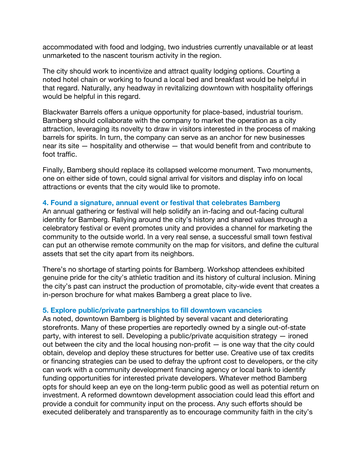accommodated with food and lodging, two industries currently unavailable or at least unmarketed to the nascent tourism activity in the region.

The city should work to incentivize and attract quality lodging options. Courting a noted hotel chain or working to found a local bed and breakfast would be helpful in that regard. Naturally, any headway in revitalizing downtown with hospitality offerings would be helpful in this regard.

Blackwater Barrels offers a unique opportunity for place-based, industrial tourism. Bamberg should collaborate with the company to market the operation as a city attraction, leveraging its novelty to draw in visitors interested in the process of making barrels for spirits. In turn, the company can serve as an anchor for new businesses near its site — hospitality and otherwise — that would benefit from and contribute to foot traffic.

Finally, Bamberg should replace its collapsed welcome monument. Two monuments, one on either side of town, could signal arrival for visitors and display info on local attractions or events that the city would like to promote.

## **4. Found a signature, annual event or festival that celebrates Bamberg**

An annual gathering or festival will help solidify an in-facing and out-facing cultural identity for Bamberg. Rallying around the city's history and shared values through a celebratory festival or event promotes unity and provides a channel for marketing the community to the outside world. In a very real sense, a successful small town festival can put an otherwise remote community on the map for visitors, and define the cultural assets that set the city apart from its neighbors.

There's no shortage of starting points for Bamberg. Workshop attendees exhibited genuine pride for the city's athletic tradition and its history of cultural inclusion. Mining the city's past can instruct the production of promotable, city-wide event that creates a in-person brochure for what makes Bamberg a great place to live.

## **5. Explore public/private partnerships to fill downtown vacancies**

As noted, downtown Bamberg is blighted by several vacant and deteriorating storefronts. Many of these properties are reportedly owned by a single out-of-state party, with interest to sell. Developing a public/private acquisition strategy — ironed out between the city and the local housing non-profit — is one way that the city could obtain, develop and deploy these structures for better use. Creative use of tax credits or financing strategies can be used to defray the upfront cost to developers, or the city can work with a community development financing agency or local bank to identify funding opportunities for interested private developers. Whatever method Bamberg opts for should keep an eye on the long-term public good as well as potential return on investment. A reformed downtown development association could lead this effort and provide a conduit for community input on the process. Any such efforts should be executed deliberately and transparently as to encourage community faith in the city's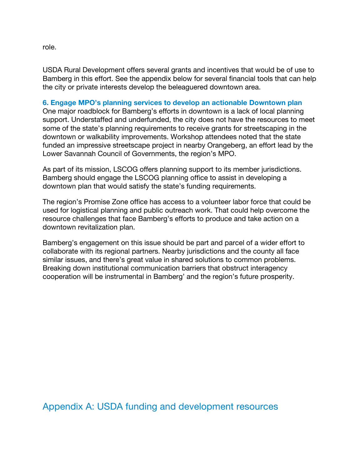role.

USDA Rural Development offers several grants and incentives that would be of use to Bamberg in this effort. See the appendix below for several financial tools that can help the city or private interests develop the beleaguered downtown area.

## **6. Engage MPO's planning services to develop an actionable Downtown plan**

One major roadblock for Bamberg's efforts in downtown is a lack of local planning support. Understaffed and underfunded, the city does not have the resources to meet some of the state's planning requirements to receive grants for streetscaping in the downtown or walkability improvements. Workshop attendees noted that the state funded an impressive streetscape project in nearby Orangeberg, an effort lead by the Lower Savannah Council of Governments, the region's MPO.

As part of its mission, LSCOG offers planning support to its member jurisdictions. Bamberg should engage the LSCOG planning office to assist in developing a downtown plan that would satisfy the state's funding requirements.

The region's Promise Zone office has access to a volunteer labor force that could be used for logistical planning and public outreach work. That could help overcome the resource challenges that face Bamberg's efforts to produce and take action on a downtown revitalization plan.

Bamberg's engagement on this issue should be part and parcel of a wider effort to collaborate with its regional partners. Nearby jurisdictions and the county all face similar issues, and there's great value in shared solutions to common problems. Breaking down institutional communication barriers that obstruct interagency cooperation will be instrumental in Bamberg' and the region's future prosperity.

Appendix A: USDA funding and development resources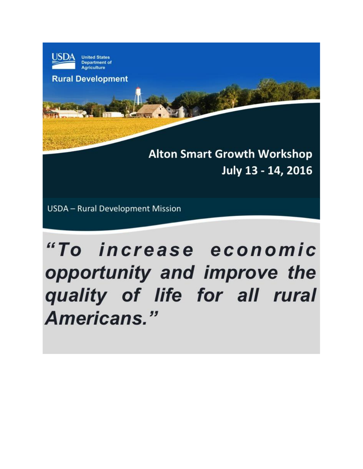

**Department of Agriculture** 

**Rural Development** 

**Alton Smart Growth Workshop** July 13 - 14, 2016

**USDA** - Rural Development Mission

# "To increase economic opportunity and improve the quality of life for all rural Americans."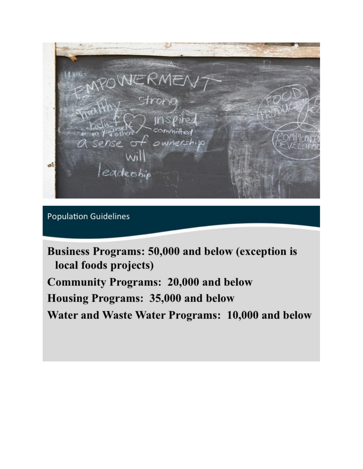Strong ownersh eadership

**Population Guidelines** 

Business Programs: 50,000 and below (exception is local foods projects) **Community Programs: 20,000 and below** Housing Programs: 35,000 and below Water and Waste Water Programs: 10,000 and below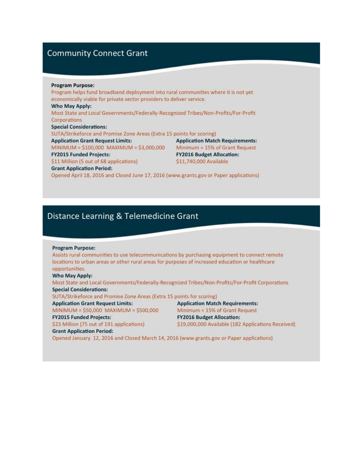## **Community Connect Grant**

#### **Program Purpose:**

Program helps fund broadband deployment into rural communities where it is not yet economically viable for private sector providers to deliver service. Who May Apply: Most State and Local Governments/Federally-Recognized Tribes/Non-Profits/For-Profit Corporations **Special Considerations:** SUTA/Strikeforce and Promise Zone Areas (Extra 15 points for scoring) **Application Grant Request Limits: Application Match Requirements:** MINIMUM =  $$100,000$  MAXIMUM =  $$3,000,000$  Minimum = 15% of Grant Request **FY2015 Funded Projects: FY2016 Budget Allocation:** \$11 Million (5 out of 68 applications) \$11,740,000 Available **Grant Application Period:** 

Opened April 18, 2016 and Closed June 17, 2016 (www.grants.gov or Paper applications)

## Distance Learning & Telemedicine Grant

#### **Program Purpose:**

Assists rural communities to use telecommunications by purchasing equipment to connect remote locations to urban areas or other rural areas for purposes of increased education or healthcare opportunities.

#### **Who May Apply:**

Most State and Local Governments/Federally-Recognized Tribes/Non-Profits/For-Profit Corporations **Special Considerations:** 

SUTA/Strikeforce and Promise Zone Areas (Extra 15 points for scoring)

**Application Grant Request Limits:** 

MINIMUM = \$50,000 MAXIMUM = \$500,000 **FY2015 Funded Projects:** 

\$23 Million (75 out of 191 applications)

Minimum = 15% of Grant Request **FY2016 Budget Allocation:** \$19,000,000 Available (182 Applications Received)

**Application Match Requirements:** 

#### **Grant Application Period:**

Opened January 12, 2016 and Closed March 14, 2016 (www.grants.gov or Paper applications)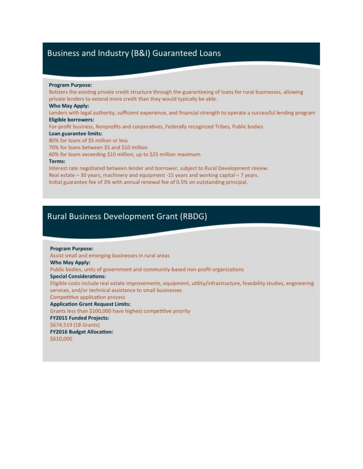## Business and Industry (B&I) Guaranteed Loans

#### **Program Purpose:**

Bolsters the existing private credit structure through the guaranteeing of loans for rural businesses, allowing private lenders to extend more credit than they would typically be able. Who May Apply: Lenders with legal authority, sufficient experience, and financial strength to operate a successful lending program **Eligible borrowers:** For-profit business, Nonprofits and cooperatives, Federally recognized Tribes, Public bodies Loan guarantee limits: 80% for loans of \$5 million or less 70% for loans between \$5 and \$10 million 60% for loans exceeding \$10 million, up to \$25 million maximum Terms: Interest rate negotiated between lender and borrower, subject to Rural Development review. Real estate - 30 years, machinery and equipment -15 years and working capital - 7 years.

Initial guarantee fee of 3% with annual renewal fee of 0.5% on outstanding principal.

## **Rural Business Development Grant (RBDG)**

**Program Purpose:** Assist small and emerging businesses in rural areas Who May Apply: Public bodies, units of government and community-based non-profit organizations **Special Considerations:** Eligible costs include real estate improvements, equipment, utility/infrastructure, feasibility studies, engineering services, and/or technical assistance to small businesses **Competitive application process Application Grant Request Limits:** Grants less than \$100,000 have highest competitive priority **FY2015 Funded Projects:** \$674,519 (18 Grants) **FY2016 Budget Allocation:** \$610,000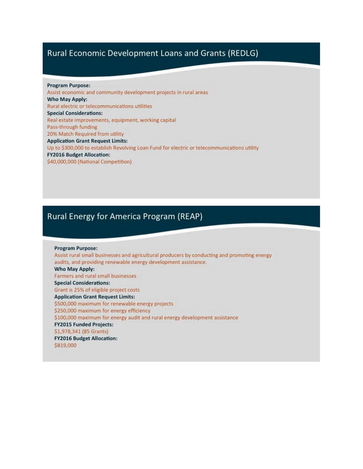## Rural Economic Development Loans and Grants (REDLG)

**Program Purpose:** Assist economic and community development projects in rural areas Who May Apply: Rural electric or telecommunications utilities **Special Considerations:** Real estate improvements, equipment, working capital Pass-through funding 20% Match Required from utility **Application Grant Request Limits:** Up to \$300,000 to establish Revolving Loan Fund for electric or telecommunications utility **FY2016 Budget Allocation:** \$40,000,000 (National Competition)

## Rural Energy for America Program (REAP)

**Program Purpose:** Assist rural small businesses and agricultural producers by conducting and promoting energy audits, and providing renewable energy development assistance. Who May Apply: Farmers and rural small businesses **Special Considerations:** Grant is 25% of eligible project costs **Application Grant Request Limits:** \$500,000 maximum for renewable energy projects \$250,000 maximum for energy efficiency \$100,000 maximum for energy audit and rural energy development assistance **FY2015 Funded Projects:** \$1,978,341 (85 Grants) **FY2016 Budget Allocation:** \$819,000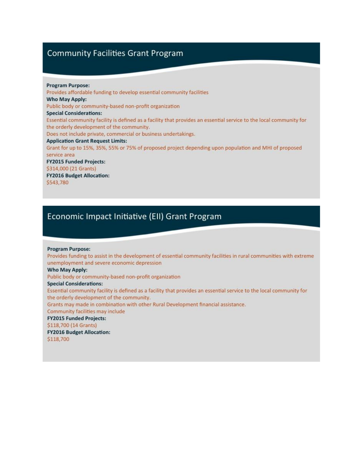## **Community Facilities Grant Program**

#### **Program Purpose:**

Provides affordable funding to develop essential community facilities Who May Apply: Public body or community-based non-profit organization **Special Considerations:** Essential community facility is defined as a facility that provides an essential service to the local community for the orderly development of the community. Does not include private, commercial or business undertakings. **Application Grant Request Limits:** Grant for up to 15%, 35%, 55% or 75% of proposed project depending upon population and MHI of proposed service area **FY2015 Funded Projects:** \$314,000 (21 Grants) **FY2016 Budget Allocation:** \$543,780

## Economic Impact Initiative (EII) Grant Program

#### **Program Purpose:**

Provides funding to assist in the development of essential community facilities in rural communities with extreme unemployment and severe economic depression

#### **Who May Apply:**

Public body or community-based non-profit organization

#### **Special Considerations:**

Essential community facility is defined as a facility that provides an essential service to the local community for the orderly development of the community.

Grants may made in combination with other Rural Development financial assistance.

#### Community facilities may include

**FY2015 Funded Projects:** 

#### \$118,700 (14 Grants)

**FY2016 Budget Allocation:** 

\$118,700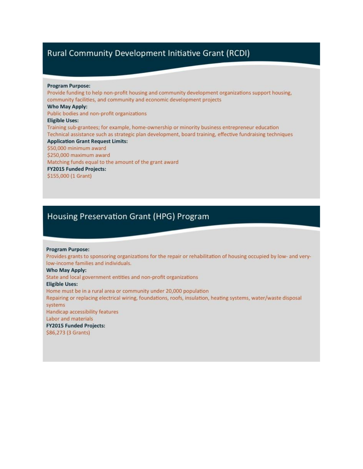## Rural Community Development Initiative Grant (RCDI)

#### **Program Purpose:**

Provide funding to help non-profit housing and community development organizations support housing, community facilities, and community and economic development projects Who May Apply: Public bodies and non-profit organizations **Eligible Uses:** Training sub-grantees; for example, home-ownership or minority business entrepreneur education Technical assistance such as strategic plan development, board training, effective fundraising techniques **Application Grant Request Limits:** \$50,000 minimum award \$250,000 maximum award Matching funds equal to the amount of the grant award **FY2015 Funded Projects:** \$155,000 (1 Grant)

## Housing Preservation Grant (HPG) Program

#### **Program Purpose:**

Provides grants to sponsoring organizations for the repair or rehabilitation of housing occupied by low- and verylow-income families and individuals.

#### Who May Apply:

State and local government entities and non-profit organizations

#### **Eligible Uses:**

Home must be in a rural area or community under 20,000 population Repairing or replacing electrical wiring, foundations, roofs, insulation, heating systems, water/waste disposal systems Handicap accessibility features Labor and materials

**FY2015 Funded Projects:** 

\$86,273 (3 Grants)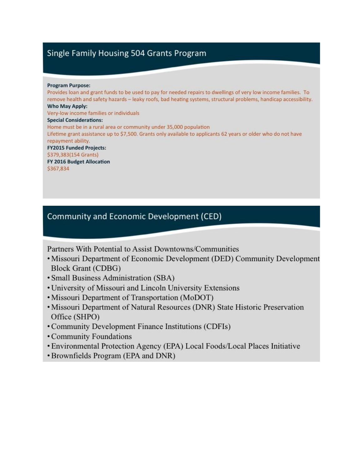# Single Family Housing 504 Grants Program

#### **Program Purpose:**

Provides loan and grant funds to be used to pay for needed repairs to dwellings of very low income families. To remove health and safety hazards - leaky roofs, bad heating systems, structural problems, handicap accessibility. Who May Apply: Very-low income families or individuals **Special Considerations:** Home must be in a rural area or community under 35,000 population Lifetime grant assistance up to \$7,500. Grants only available to applicants 62 years or older who do not have repayment ability. **FY2015 Funded Projects:** \$379,383(154 Grants) FY 2016 Budget Allocation \$367,834

## **Community and Economic Development (CED)**

Partners With Potential to Assist Downtowns/Communities

- Missouri Department of Economic Development (DED) Community Development **Block Grant (CDBG)**
- Small Business Administration (SBA)
- University of Missouri and Lincoln University Extensions
- Missouri Department of Transportation (MoDOT)
- Missouri Department of Natural Resources (DNR) State Historic Preservation Office (SHPO)
- Community Development Finance Institutions (CDFIs)
- Community Foundations
- Environmental Protection Agency (EPA) Local Foods/Local Places Initiative
- Brownfields Program (EPA and DNR)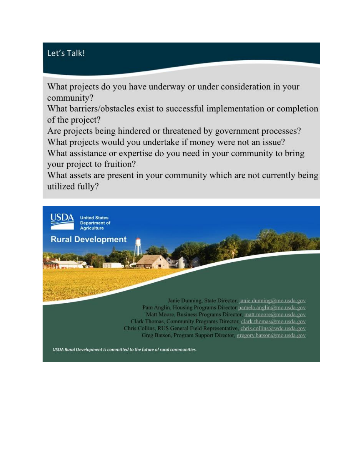# Let's Talk!

What projects do you have underway or under consideration in your community?

What barriers/obstacles exist to successful implementation or completion of the project?

Are projects being hindered or threatened by government processes? What projects would you undertake if money were not an issue?

What assistance or expertise do you need in your community to bring your project to fruition?

What assets are present in your community which are not currently being utilized fully?